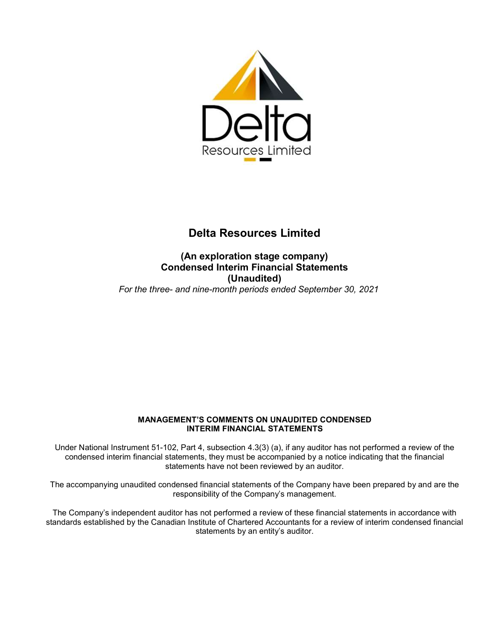

# **(An exploration stage company) Condensed Interim Financial Statements (Unaudited)**  *For the three- and nine-month periods ended September 30, 2021*

# **MANAGEMENT'S COMMENTS ON UNAUDITED CONDENSED INTERIM FINANCIAL STATEMENTS**

Under National Instrument 51-102, Part 4, subsection 4.3(3) (a), if any auditor has not performed a review of the condensed interim financial statements, they must be accompanied by a notice indicating that the financial statements have not been reviewed by an auditor.

The accompanying unaudited condensed financial statements of the Company have been prepared by and are the responsibility of the Company's management.

The Company's independent auditor has not performed a review of these financial statements in accordance with standards established by the Canadian Institute of Chartered Accountants for a review of interim condensed financial statements by an entity's auditor.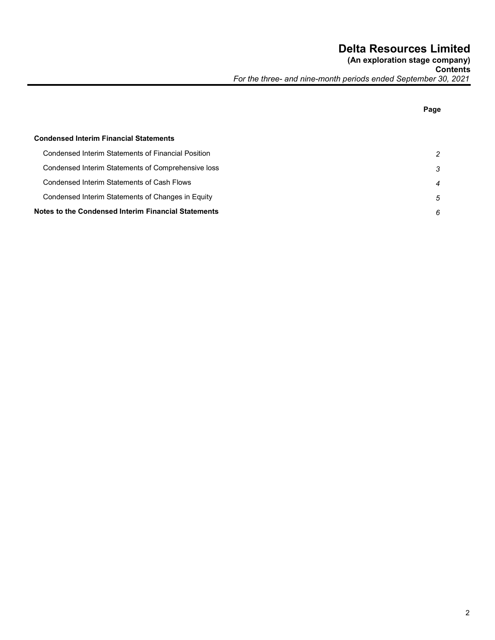**Page** 

# **Condensed Interim Financial Statements**  Condensed Interim Statements of Financial Position *2*  Condensed Interim Statements of Comprehensive loss *3*  Condensed Interim Statements of Cash Flows *4*  Condensed Interim Statements of Changes in Equity *5*  **Notes to the Condensed Interim Financial Statements** *6*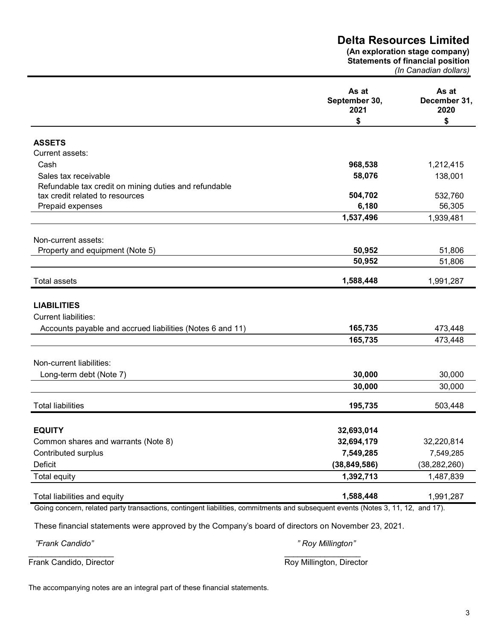**(An exploration stage company) Statements of financial position**  *(In Canadian dollars)* 

|                                                                                                                                 | As at<br>September 30,<br>2021 | As at<br>December 31,<br>2020 |
|---------------------------------------------------------------------------------------------------------------------------------|--------------------------------|-------------------------------|
|                                                                                                                                 | \$                             | \$                            |
| <b>ASSETS</b>                                                                                                                   |                                |                               |
| Current assets:                                                                                                                 |                                |                               |
| Cash                                                                                                                            | 968,538                        | 1,212,415                     |
| Sales tax receivable                                                                                                            |                                |                               |
| Refundable tax credit on mining duties and refundable                                                                           | 58,076                         | 138,001                       |
| tax credit related to resources                                                                                                 | 504,702                        | 532,760                       |
| Prepaid expenses                                                                                                                | 6,180                          | 56,305                        |
|                                                                                                                                 | 1,537,496                      | 1,939,481                     |
|                                                                                                                                 |                                |                               |
| Non-current assets:                                                                                                             |                                |                               |
| Property and equipment (Note 5)                                                                                                 | 50,952                         | 51,806                        |
|                                                                                                                                 | 50,952                         | 51,806                        |
| <b>Total assets</b>                                                                                                             | 1,588,448                      | 1,991,287                     |
| <b>LIABILITIES</b>                                                                                                              |                                |                               |
|                                                                                                                                 |                                |                               |
| <b>Current liabilities:</b>                                                                                                     |                                |                               |
| Accounts payable and accrued liabilities (Notes 6 and 11)                                                                       | 165,735                        | 473,448                       |
|                                                                                                                                 | 165,735                        | 473,448                       |
| Non-current liabilities:                                                                                                        |                                |                               |
| Long-term debt (Note 7)                                                                                                         | 30,000                         | 30,000                        |
|                                                                                                                                 | 30,000                         | 30,000                        |
| <b>Total liabilities</b>                                                                                                        | 195,735                        | 503,448                       |
|                                                                                                                                 |                                |                               |
| <b>EQUITY</b>                                                                                                                   | 32,693,014                     |                               |
| Common shares and warrants (Note 8)                                                                                             | 32,694,179                     | 32,220,814                    |
| Contributed surplus                                                                                                             | 7,549,285                      | 7,549,285                     |
| Deficit                                                                                                                         | (38, 849, 586)                 | (38, 282, 260)                |
| <b>Total equity</b>                                                                                                             | 1,392,713                      | 1,487,839                     |
| Total liabilities and equity                                                                                                    | 1,588,448                      | 1,991,287                     |
| Going concern, related party transactions, contingent liabilities, commitments and subsequent events (Notes 3, 11, 12, and 17). |                                |                               |

These financial statements were approved by the Company's board of directors on November 23, 2021.

*"Frank Candido" " Roy Millington"* 

 $\overline{\phantom{a}}$  , and the contract of the contract of the contract of the contract of the contract of the contract of the contract of the contract of the contract of the contract of the contract of the contract of the contrac Frank Candido, Director **Frank Candido, Director** Roy Millington, Director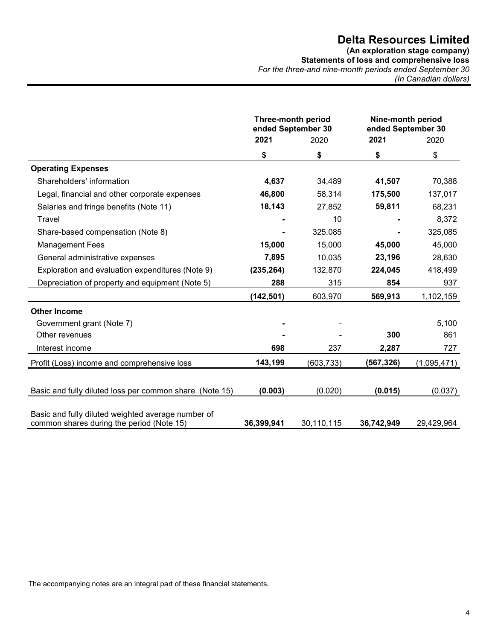**(An exploration stage company) Statements of loss and comprehensive loss**  *For the three-and nine-month periods ended September 30 (In Canadian dollars)* 

**Three-month period ended September 30 Nine-month period ended September 30 2021** 2020 **2021** 2020 **\$ \$ \$** \$ **Operating Expenses**  Shareholders' information **4,637** 34,489 **41,507** 70,388 Legal, financial and other corporate expenses **46,800** 58,314 **175,500** 137,017 Salaries and fringe benefits (Note 11) **18,143** 27,852 **59,811** 68,231 Travel **-** 10 **-** 8,372 Share-based compensation (Note 8) **-** 325,085 **-** 325,085 Management Fees **15,000** 15,000 **45,000** 45,000 General administrative expenses **7,895** 10,035 **23,196** 28,630 Exploration and evaluation expenditures (Note 9) **(235,264)** 132,870 **224,045** 418,499 Depreciation of property and equipment (Note 5) **288** 315 **854** 937 **(142,501)** 603,970 **569,913** 1,102,159 **Other Income** Government grant (Note 7) **-** - 5,100 Other revenues **-** - **300** 861 Interest income **698** 237 **2,287** 727 Profit (Loss) income and comprehensive loss **143,199** (603,733) **(567,326)** (1,095,471) Basic and fully diluted loss per common share (Note 15) **(0.003)** (0.020) **(0.015)** (0.037) Basic and fully diluted weighted average number of common shares during the period (Note 15) **36,399,941** 30,110,115 **36,742,949** 29,429,964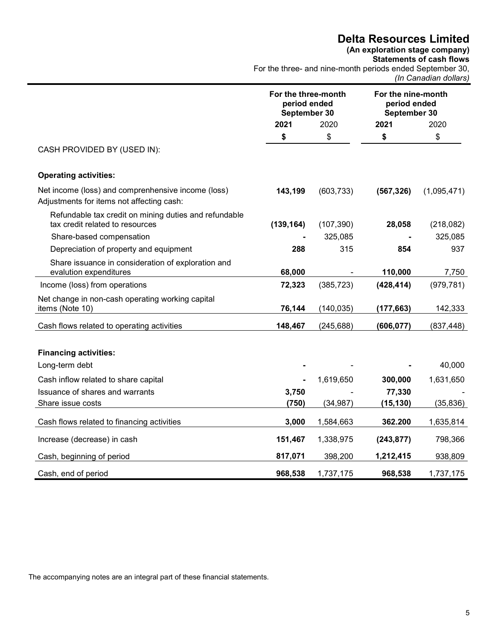**(An exploration stage company)** 

**Statements of cash flows** 

For the three- and nine-month periods ended September 30, *(In Canadian dollars)* 

|                                                                                          | For the three-month<br>period ended<br>September 30 |            | For the nine-month<br>period ended<br>September 30 |             |
|------------------------------------------------------------------------------------------|-----------------------------------------------------|------------|----------------------------------------------------|-------------|
|                                                                                          | 2021                                                | 2020       | 2021                                               | 2020        |
|                                                                                          | \$                                                  | \$         | \$                                                 | \$          |
| CASH PROVIDED BY (USED IN):                                                              |                                                     |            |                                                    |             |
| <b>Operating activities:</b>                                                             |                                                     |            |                                                    |             |
| Net income (loss) and comprenhensive income (loss)                                       | 143,199                                             | (603, 733) | (567, 326)                                         | (1,095,471) |
| Adjustments for items not affecting cash:                                                |                                                     |            |                                                    |             |
| Refundable tax credit on mining duties and refundable<br>tax credit related to resources | (139, 164)                                          | (107, 390) | 28,058                                             | (218, 082)  |
| Share-based compensation                                                                 |                                                     | 325,085    |                                                    | 325,085     |
| Depreciation of property and equipment                                                   | 288                                                 | 315        | 854                                                | 937         |
| Share issuance in consideration of exploration and<br>evalution expenditures             | 68,000                                              |            | 110,000                                            | 7,750       |
| Income (loss) from operations                                                            | 72,323                                              | (385, 723) | (428, 414)                                         | (979, 781)  |
| Net change in non-cash operating working capital<br>items (Note 10)                      |                                                     |            |                                                    |             |
|                                                                                          | 76,144                                              | (140, 035) | (177, 663)                                         | 142,333     |
| Cash flows related to operating activities                                               | 148,467                                             | (245, 688) | (606, 077)                                         | (837, 448)  |
| <b>Financing activities:</b>                                                             |                                                     |            |                                                    |             |
| Long-term debt                                                                           |                                                     |            |                                                    | 40,000      |
| Cash inflow related to share capital                                                     |                                                     | 1,619,650  | 300,000                                            | 1,631,650   |
| Issuance of shares and warrants                                                          | 3,750                                               |            | 77,330                                             |             |
| Share issue costs                                                                        | (750)                                               | (34, 987)  | (15, 130)                                          | (35, 836)   |
| Cash flows related to financing activities                                               | 3,000                                               | 1,584,663  | 362.200                                            | 1,635,814   |
| Increase (decrease) in cash                                                              | 151,467                                             | 1,338,975  | (243, 877)                                         | 798,366     |
| Cash, beginning of period                                                                | 817,071                                             | 398,200    | 1,212,415                                          | 938,809     |
| Cash, end of period                                                                      | 968,538                                             | 1,737,175  | 968,538                                            | 1,737,175   |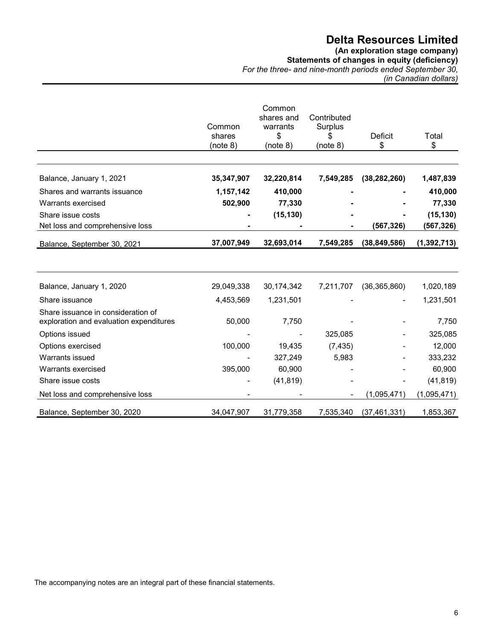**(An exploration stage company)** 

**Statements of changes in equity (deficiency)**  *For the three- and nine-month periods ended September 30,*

*(in Canadian dollars)*

|                                                                               | Common<br>shares<br>(note 8) | Common<br>shares and<br>warrants<br>\$<br>(note 8) | Contributed<br>Surplus<br>\$<br>(note 8) | <b>Deficit</b><br>\$ | Total<br>\$   |
|-------------------------------------------------------------------------------|------------------------------|----------------------------------------------------|------------------------------------------|----------------------|---------------|
|                                                                               |                              |                                                    |                                          |                      |               |
| Balance, January 1, 2021                                                      | 35,347,907                   | 32,220,814                                         | 7,549,285                                | (38, 282, 260)       | 1,487,839     |
| Shares and warrants issuance                                                  | 1,157,142                    | 410,000                                            |                                          |                      | 410,000       |
| Warrants exercised                                                            | 502,900                      | 77,330                                             |                                          |                      | 77,330        |
| Share issue costs                                                             |                              | (15, 130)                                          |                                          |                      | (15, 130)     |
| Net loss and comprehensive loss                                               |                              |                                                    |                                          | (567,326)            | (567,326)     |
| Balance, September 30, 2021                                                   | 37,007,949                   | 32,693,014                                         | 7,549,285                                | (38, 849, 586)       | (1, 392, 713) |
|                                                                               |                              |                                                    |                                          |                      |               |
| Balance, January 1, 2020                                                      | 29,049,338                   | 30,174,342                                         | 7,211,707                                | (36, 365, 860)       | 1,020,189     |
| Share issuance                                                                | 4,453,569                    | 1,231,501                                          |                                          |                      | 1,231,501     |
| Share issuance in consideration of<br>exploration and evaluation expenditures | 50,000                       | 7,750                                              |                                          |                      | 7,750         |
| Options issued                                                                |                              |                                                    | 325,085                                  |                      | 325,085       |
| Options exercised                                                             | 100,000                      | 19,435                                             | (7, 435)                                 |                      | 12,000        |
| Warrants issued                                                               |                              | 327,249                                            | 5,983                                    |                      | 333,232       |
| Warrants exercised                                                            | 395,000                      | 60,900                                             |                                          |                      | 60,900        |
| Share issue costs                                                             |                              | (41, 819)                                          |                                          |                      | (41, 819)     |
| Net loss and comprehensive loss                                               |                              |                                                    |                                          | (1,095,471)          | (1,095,471)   |
| Balance, September 30, 2020                                                   | 34,047,907                   | 31,779,358                                         | 7,535,340                                | (37, 461, 331)       | 1,853,367     |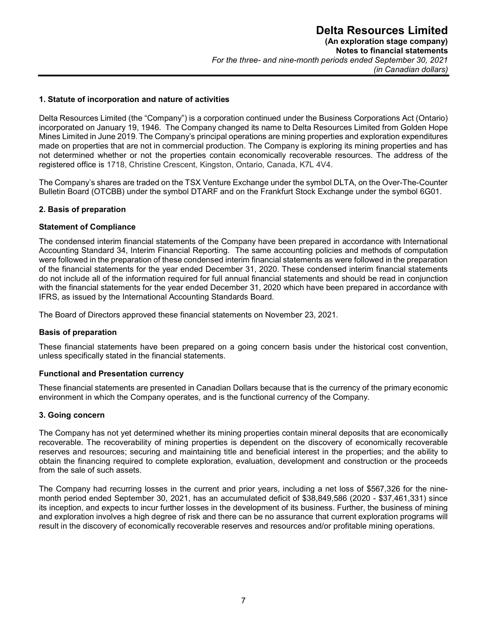# **1. Statute of incorporation and nature of activities**

Delta Resources Limited (the "Company") is a corporation continued under the Business Corporations Act (Ontario) incorporated on January 19, 1946. The Company changed its name to Delta Resources Limited from Golden Hope Mines Limited in June 2019. The Company's principal operations are mining properties and exploration expenditures made on properties that are not in commercial production. The Company is exploring its mining properties and has not determined whether or not the properties contain economically recoverable resources. The address of the registered office is 1718, Christine Crescent, Kingston, Ontario, Canada, K7L 4V4.

The Company's shares are traded on the TSX Venture Exchange under the symbol DLTA, on the Over-The-Counter Bulletin Board (OTCBB) under the symbol DTARF and on the Frankfurt Stock Exchange under the symbol 6G01.

# **2. Basis of preparation**

# **Statement of Compliance**

The condensed interim financial statements of the Company have been prepared in accordance with International Accounting Standard 34, Interim Financial Reporting. The same accounting policies and methods of computation were followed in the preparation of these condensed interim financial statements as were followed in the preparation of the financial statements for the year ended December 31, 2020. These condensed interim financial statements do not include all of the information required for full annual financial statements and should be read in conjunction with the financial statements for the year ended December 31, 2020 which have been prepared in accordance with IFRS, as issued by the International Accounting Standards Board.

The Board of Directors approved these financial statements on November 23, 2021.

# **Basis of preparation**

These financial statements have been prepared on a going concern basis under the historical cost convention, unless specifically stated in the financial statements.

# **Functional and Presentation currency**

These financial statements are presented in Canadian Dollars because that is the currency of the primary economic environment in which the Company operates, and is the functional currency of the Company.

# **3. Going concern**

The Company has not yet determined whether its mining properties contain mineral deposits that are economically recoverable. The recoverability of mining properties is dependent on the discovery of economically recoverable reserves and resources; securing and maintaining title and beneficial interest in the properties; and the ability to obtain the financing required to complete exploration, evaluation, development and construction or the proceeds from the sale of such assets.

The Company had recurring losses in the current and prior years, including a net loss of \$567,326 for the ninemonth period ended September 30, 2021, has an accumulated deficit of \$38,849,586 (2020 - \$37,461,331) since its inception, and expects to incur further losses in the development of its business. Further, the business of mining and exploration involves a high degree of risk and there can be no assurance that current exploration programs will result in the discovery of economically recoverable reserves and resources and/or profitable mining operations.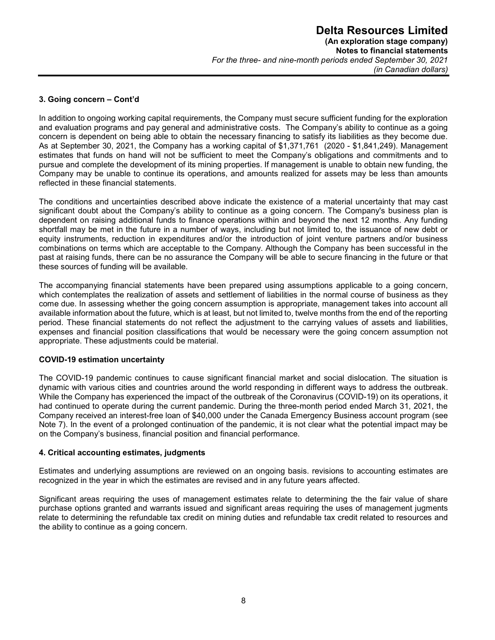# **3. Going concern – Cont'd**

In addition to ongoing working capital requirements, the Company must secure sufficient funding for the exploration and evaluation programs and pay general and administrative costs. The Company's ability to continue as a going concern is dependent on being able to obtain the necessary financing to satisfy its liabilities as they become due. As at September 30, 2021, the Company has a working capital of \$1,371,761 (2020 - \$1,841,249). Management estimates that funds on hand will not be sufficient to meet the Company's obligations and commitments and to pursue and complete the development of its mining properties. If management is unable to obtain new funding, the Company may be unable to continue its operations, and amounts realized for assets may be less than amounts reflected in these financial statements.

The conditions and uncertainties described above indicate the existence of a material uncertainty that may cast significant doubt about the Company's ability to continue as a going concern. The Company's business plan is dependent on raising additional funds to finance operations within and beyond the next 12 months. Any funding shortfall may be met in the future in a number of ways, including but not limited to, the issuance of new debt or equity instruments, reduction in expenditures and/or the introduction of joint venture partners and/or business combinations on terms which are acceptable to the Company. Although the Company has been successful in the past at raising funds, there can be no assurance the Company will be able to secure financing in the future or that these sources of funding will be available.

The accompanying financial statements have been prepared using assumptions applicable to a going concern, which contemplates the realization of assets and settlement of liabilities in the normal course of business as they come due. In assessing whether the going concern assumption is appropriate, management takes into account all available information about the future, which is at least, but not limited to, twelve months from the end of the reporting period. These financial statements do not reflect the adjustment to the carrying values of assets and liabilities, expenses and financial position classifications that would be necessary were the going concern assumption not appropriate. These adjustments could be material.

# **COVID-19 estimation uncertainty**

The COVID-19 pandemic continues to cause significant financial market and social dislocation. The situation is dynamic with various cities and countries around the world responding in different ways to address the outbreak. While the Company has experienced the impact of the outbreak of the Coronavirus (COVID-19) on its operations, it had continued to operate during the current pandemic. During the three-month period ended March 31, 2021, the Company received an interest-free loan of \$40,000 under the Canada Emergency Business account program (see Note 7). In the event of a prolonged continuation of the pandemic, it is not clear what the potential impact may be on the Company's business, financial position and financial performance.

# **4. Critical accounting estimates, judgments**

Estimates and underlying assumptions are reviewed on an ongoing basis. revisions to accounting estimates are recognized in the year in which the estimates are revised and in any future years affected.

Significant areas requiring the uses of management estimates relate to determining the the fair value of share purchase options granted and warrants issued and significant areas requiring the uses of management jugments relate to determining the refundable tax credit on mining duties and refundable tax credit related to resources and the ability to continue as a going concern.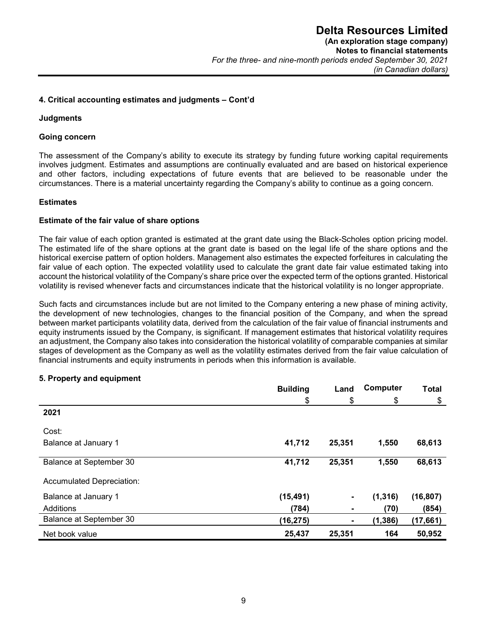# **4. Critical accounting estimates and judgments – Cont'd**

# **Judgments**

# **Going concern**

The assessment of the Company's ability to execute its strategy by funding future working capital requirements involves judgment. Estimates and assumptions are continually evaluated and are based on historical experience and other factors, including expectations of future events that are believed to be reasonable under the circumstances. There is a material uncertainty regarding the Company's ability to continue as a going concern.

# **Estimates**

# **Estimate of the fair value of share options**

The fair value of each option granted is estimated at the grant date using the Black-Scholes option pricing model. The estimated life of the share options at the grant date is based on the legal life of the share options and the historical exercise pattern of option holders. Management also estimates the expected forfeitures in calculating the fair value of each option. The expected volatility used to calculate the grant date fair value estimated taking into account the historical volatility of the Company's share price over the expected term of the options granted. Historical volatility is revised whenever facts and circumstances indicate that the historical volatility is no longer appropriate.

Such facts and circumstances include but are not limited to the Company entering a new phase of mining activity, the development of new technologies, changes to the financial position of the Company, and when the spread between market participants volatility data, derived from the calculation of the fair value of financial instruments and equity instruments issued by the Company, is significant. If management estimates that historical volatility requires an adjustment, the Company also takes into consideration the historical volatility of comparable companies at similar stages of development as the Company as well as the volatility estimates derived from the fair value calculation of financial instruments and equity instruments in periods when this information is available.

# **5. Property and equipment**

|                           | <b>Building</b><br>Land |                | Computer | <b>Total</b> |  |
|---------------------------|-------------------------|----------------|----------|--------------|--|
|                           | \$                      | \$             | \$       | \$           |  |
| 2021                      |                         |                |          |              |  |
| Cost:                     |                         |                |          |              |  |
| Balance at January 1      | 41,712                  | 25,351         | 1,550    | 68,613       |  |
|                           |                         |                |          |              |  |
| Balance at September 30   | 41,712                  | 25,351         | 1,550    | 68,613       |  |
| Accumulated Depreciation: |                         |                |          |              |  |
| Balance at January 1      | (15, 491)               | $\blacksquare$ | (1, 316) | (16, 807)    |  |
| Additions                 | (784)                   | ۰              | (70)     | (854)        |  |
| Balance at September 30   | (16, 275)               | ۰              | (1, 386) | (17, 661)    |  |
| Net book value            | 25,437                  | 25,351         | 164      | 50,952       |  |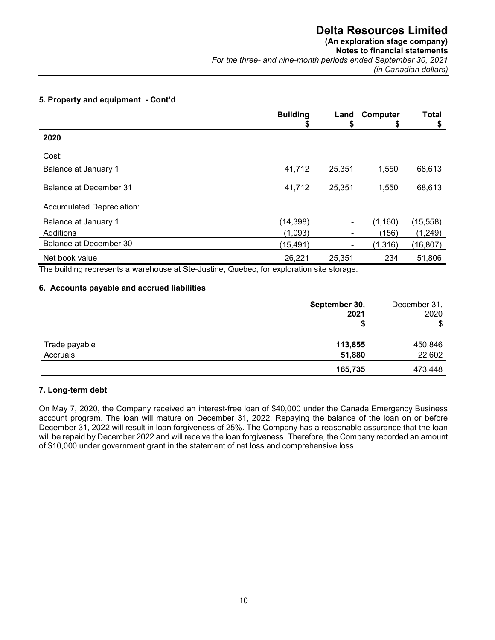# **(An exploration stage company)**

**Notes to financial statements**  *For the three- and nine-month periods ended September 30, 2021 (in Canadian dollars)* 

# **5. Property and equipment - Cont'd**

|                               | <b>Building</b> | Land                         | Computer | Total<br>\$ |
|-------------------------------|-----------------|------------------------------|----------|-------------|
| 2020                          |                 |                              |          |             |
| Cost:                         |                 |                              |          |             |
| Balance at January 1          | 41,712          | 25,351                       | 1,550    | 68,613      |
| <b>Balance at December 31</b> | 41,712          | 25,351                       | 1,550    | 68,613      |
| Accumulated Depreciation:     |                 |                              |          |             |
| Balance at January 1          | (14, 398)       | $\qquad \qquad \blacksquare$ | (1,160)  | (15, 558)   |
| Additions                     | (1,093)         | $\blacksquare$               | (156)    | (1, 249)    |
| Balance at December 30        | (15, 491)       | ۰                            | (1, 316) | (16, 807)   |
| Net book value                | 26,221          | 25,351                       | 234      | 51,806      |

The building represents a warehouse at Ste-Justine, Quebec, for exploration site storage.

# **6. Accounts payable and accrued liabilities**

|               | September 30,<br>2021 | December 31,<br>2020 |
|---------------|-----------------------|----------------------|
|               |                       | \$                   |
| Trade payable | 113,855               | 450,846              |
| Accruals      | 51,880                | 22,602               |
|               | 165,735               | 473,448              |

# **7. Long-term debt**

On May 7, 2020, the Company received an interest-free loan of \$40,000 under the Canada Emergency Business account program. The loan will mature on December 31, 2022. Repaying the balance of the loan on or before December 31, 2022 will result in loan forgiveness of 25%. The Company has a reasonable assurance that the loan will be repaid by December 2022 and will receive the loan forgiveness. Therefore, the Company recorded an amount of \$10,000 under government grant in the statement of net loss and comprehensive loss.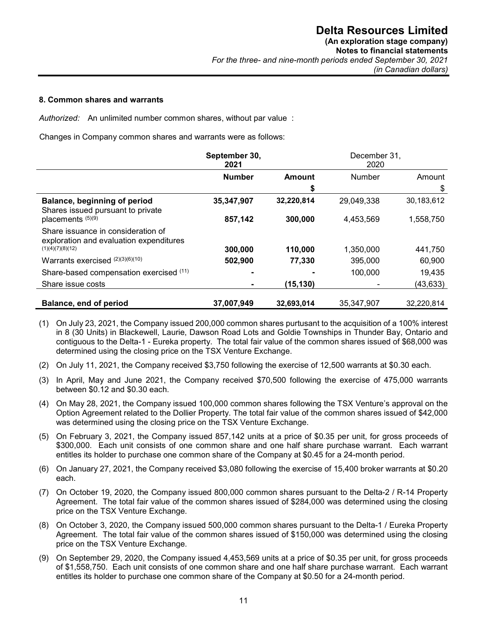# **8. Common shares and warrants**

*Authorized:* An unlimited number common shares, without par value :

Changes in Company common shares and warrants were as follows:

|                                                                               | September 30,<br>2021 |            | December 31,<br>2020 |            |
|-------------------------------------------------------------------------------|-----------------------|------------|----------------------|------------|
|                                                                               | <b>Number</b>         | Amount     | Number               | Amount     |
|                                                                               |                       | S          |                      | \$         |
| Balance, beginning of period<br>Shares issued pursuant to private             | 35,347,907            | 32,220,814 | 29,049,338           | 30,183,612 |
| placements (5)(9)                                                             | 857,142               | 300,000    | 4,453,569            | 1,558,750  |
| Share issuance in consideration of<br>exploration and evaluation expenditures |                       |            |                      |            |
| (1)(4)(7)(8)(12)                                                              | 300,000               | 110,000    | 1.350.000            | 441,750    |
| Warrants exercised (2)(3)(6)(10)                                              | 502,900               | 77,330     | 395,000              | 60,900     |
| Share-based compensation exercised (11)                                       |                       |            | 100,000              | 19,435     |
| Share issue costs                                                             |                       | (15, 130)  |                      | (43, 633)  |
| Balance, end of period                                                        | 37,007,949            | 32,693,014 | 35,347,907           | 32,220,814 |

- (1) On July 23, 2021, the Company issued 200,000 common shares purtusant to the acquisition of a 100% interest in 8 (30 Units) in Blackewell, Laurie, Dawson Road Lots and Goldie Townships in Thunder Bay, Ontario and contiguous to the Delta-1 - Eureka property. The total fair value of the common shares issued of \$68,000 was determined using the closing price on the TSX Venture Exchange.
- (2) On July 11, 2021, the Company received \$3,750 following the exercise of 12,500 warrants at \$0.30 each.
- (3) In April, May and June 2021, the Company received \$70,500 following the exercise of 475,000 warrants between \$0.12 and \$0.30 each.
- (4) On May 28, 2021, the Company issued 100,000 common shares following the TSX Venture's approval on the Option Agreement related to the Dollier Property. The total fair value of the common shares issued of \$42,000 was determined using the closing price on the TSX Venture Exchange.
- (5) On February 3, 2021, the Company issued 857,142 units at a price of \$0.35 per unit, for gross proceeds of \$300,000. Each unit consists of one common share and one half share purchase warrant. Each warrant entitles its holder to purchase one common share of the Company at \$0.45 for a 24-month period.
- (6) On January 27, 2021, the Company received \$3,080 following the exercise of 15,400 broker warrants at \$0.20 each.
- (7) On October 19, 2020, the Company issued 800,000 common shares pursuant to the Delta-2 / R-14 Property Agreement. The total fair value of the common shares issued of \$284,000 was determined using the closing price on the TSX Venture Exchange.
- (8) On October 3, 2020, the Company issued 500,000 common shares pursuant to the Delta-1 / Eureka Property Agreement. The total fair value of the common shares issued of \$150,000 was determined using the closing price on the TSX Venture Exchange.
- (9) On September 29, 2020, the Company issued 4,453,569 units at a price of \$0.35 per unit, for gross proceeds of \$1,558,750. Each unit consists of one common share and one half share purchase warrant. Each warrant entitles its holder to purchase one common share of the Company at \$0.50 for a 24-month period.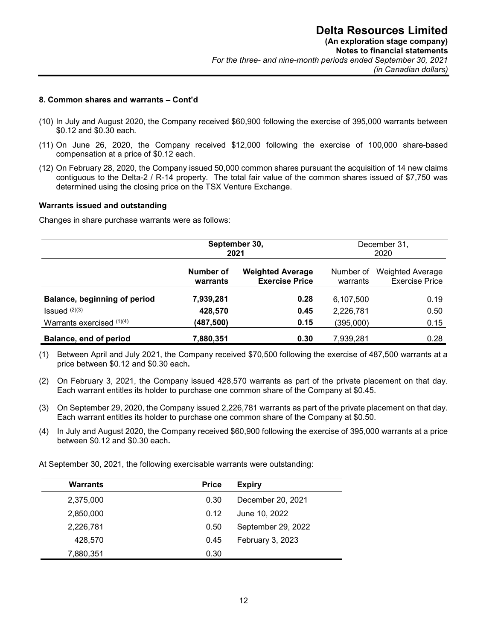# **8. Common shares and warrants – Cont'd**

- (10) In July and August 2020, the Company received \$60,900 following the exercise of 395,000 warrants between \$0.12 and \$0.30 each.
- (11) On June 26, 2020, the Company received \$12,000 following the exercise of 100,000 share-based compensation at a price of \$0.12 each.
- (12) On February 28, 2020, the Company issued 50,000 common shares pursuant the acquisition of 14 new claims contiguous to the Delta-2 / R-14 property. The total fair value of the common shares issued of \$7,750 was determined using the closing price on the TSX Venture Exchange.

#### **Warrants issued and outstanding**

Changes in share purchase warrants were as follows:

|                               | September 30,<br>2021 |                                                  | December 31,<br>2020  |                                                  |
|-------------------------------|-----------------------|--------------------------------------------------|-----------------------|--------------------------------------------------|
|                               | Number of<br>warrants | <b>Weighted Average</b><br><b>Exercise Price</b> | Number of<br>warrants | <b>Weighted Average</b><br><b>Exercise Price</b> |
| Balance, beginning of period  | 7,939,281             | 0.28                                             | 6,107,500             | 0.19                                             |
| $Issued$ $(2)(3)$             | 428,570               | 0.45                                             | 2,226,781             | 0.50                                             |
| Warrants exercised $(1)(4)$   | (487,500)             | 0.15                                             | (395,000)             | 0.15                                             |
| <b>Balance, end of period</b> | 7,880,351             | 0.30                                             | 7,939,281             | 0.28                                             |

(1) Between April and July 2021, the Company received \$70,500 following the exercise of 487,500 warrants at a price between \$0.12 and \$0.30 each**.** 

- (2) On February 3, 2021, the Company issued 428,570 warrants as part of the private placement on that day. Each warrant entitles its holder to purchase one common share of the Company at \$0.45.
- (3) On September 29, 2020, the Company issued 2,226,781 warrants as part of the private placement on that day. Each warrant entitles its holder to purchase one common share of the Company at \$0.50.
- (4) In July and August 2020, the Company received \$60,900 following the exercise of 395,000 warrants at a price between \$0.12 and \$0.30 each**.**

At September 30, 2021, the following exercisable warrants were outstanding:

| <b>Warrants</b> | <b>Price</b> | <b>Expiry</b>      |
|-----------------|--------------|--------------------|
| 2,375,000       | 0.30         | December 20, 2021  |
| 2,850,000       | 0.12         | June 10, 2022      |
| 2,226,781       | 0.50         | September 29, 2022 |
| 428,570         | 0.45         | February 3, 2023   |
| 7,880,351       | 0.30         |                    |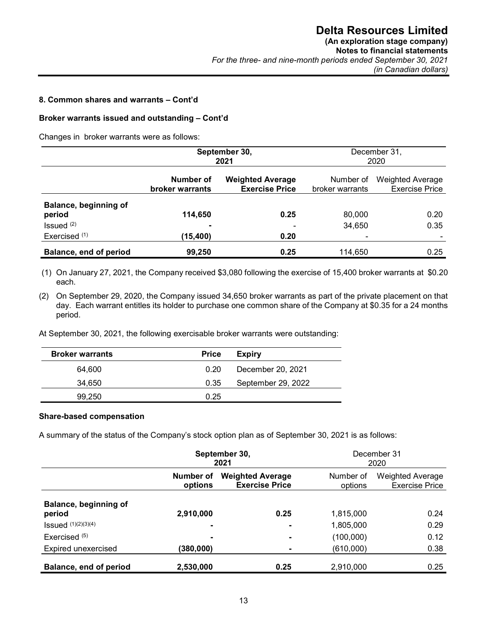# **8. Common shares and warrants – Cont'd**

# **Broker warrants issued and outstanding – Cont'd**

Changes in broker warrants were as follows:

|                                 | September 30,<br>2021        |                                                  |                              | December 31,<br>2020                             |
|---------------------------------|------------------------------|--------------------------------------------------|------------------------------|--------------------------------------------------|
|                                 | Number of<br>broker warrants | <b>Weighted Average</b><br><b>Exercise Price</b> | Number of<br>broker warrants | <b>Weighted Average</b><br><b>Exercise Price</b> |
| Balance, beginning of<br>period | 114,650                      | 0.25                                             | 80,000                       | 0.20                                             |
| Is sued <sup>(2)</sup>          | $\overline{\phantom{0}}$     | $\overline{\phantom{0}}$                         | 34,650                       | 0.35                                             |
| Exercised <sup>(1)</sup>        | (15,400)                     | 0.20                                             |                              |                                                  |
| Balance, end of period          | 99,250                       | 0.25                                             | 114.650                      | 0.25                                             |

(1) On January 27, 2021, the Company received \$3,080 following the exercise of 15,400 broker warrants at \$0.20 each.

(2) On September 29, 2020, the Company issued 34,650 broker warrants as part of the private placement on that day. Each warrant entitles its holder to purchase one common share of the Company at \$0.35 for a 24 months period.

At September 30, 2021, the following exercisable broker warrants were outstanding:

| <b>Broker warrants</b> | <b>Price</b> | Expiry             |
|------------------------|--------------|--------------------|
| 64.600                 | 0.20         | December 20, 2021  |
| 34,650                 | 0.35         | September 29, 2022 |
| 99.250                 | 0.25         |                    |

# **Share-based compensation**

A summary of the status of the Company's stock option plan as of September 30, 2021 is as follows:

|                                 | September 30,<br>2021 |                                                  |                      | December 31<br>2020                              |
|---------------------------------|-----------------------|--------------------------------------------------|----------------------|--------------------------------------------------|
|                                 | Number of<br>options  | <b>Weighted Average</b><br><b>Exercise Price</b> | Number of<br>options | <b>Weighted Average</b><br><b>Exercise Price</b> |
| Balance, beginning of<br>period | 2,910,000             | 0.25                                             | 1,815,000            | 0.24                                             |
| Issued $(1)(2)(3)(4)$           |                       | -                                                | 1,805,000            | 0.29                                             |
| Exercised $(5)$                 | $\blacksquare$        |                                                  | (100,000)            | 0.12                                             |
| Expired unexercised             | (380,000)             |                                                  | (610,000)            | 0.38                                             |
| Balance, end of period          | 2,530,000             | 0.25                                             | 2.910.000            | 0.25                                             |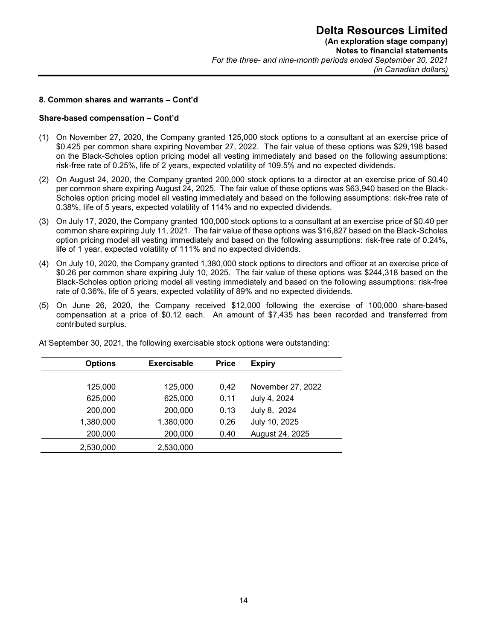# **8. Common shares and warrants – Cont'd**

# **Share-based compensation – Cont'd**

- (1) On November 27, 2020, the Company granted 125,000 stock options to a consultant at an exercise price of \$0.425 per common share expiring November 27, 2022. The fair value of these options was \$29,198 based on the Black-Scholes option pricing model all vesting immediately and based on the following assumptions: risk-free rate of 0.25%, life of 2 years, expected volatility of 109.5% and no expected dividends.
- (2) On August 24, 2020, the Company granted 200,000 stock options to a director at an exercise price of \$0.40 per common share expiring August 24, 2025. The fair value of these options was \$63,940 based on the Black-Scholes option pricing model all vesting immediately and based on the following assumptions: risk-free rate of 0.38%, life of 5 years, expected volatility of 114% and no expected dividends.
- (3) On July 17, 2020, the Company granted 100,000 stock options to a consultant at an exercise price of \$0.40 per common share expiring July 11, 2021. The fair value of these options was \$16,827 based on the Black-Scholes option pricing model all vesting immediately and based on the following assumptions: risk-free rate of 0.24%, life of 1 year, expected volatility of 111% and no expected dividends.
- (4) On July 10, 2020, the Company granted 1,380,000 stock options to directors and officer at an exercise price of \$0.26 per common share expiring July 10, 2025. The fair value of these options was \$244,318 based on the Black-Scholes option pricing model all vesting immediately and based on the following assumptions: risk-free rate of 0.36%, life of 5 years, expected volatility of 89% and no expected dividends.
- (5) On June 26, 2020, the Company received \$12,000 following the exercise of 100,000 share-based compensation at a price of \$0.12 each. An amount of \$7,435 has been recorded and transferred from contributed surplus.

| <b>Options</b> | <b>Exercisable</b> | <b>Price</b> | <b>Expiry</b>     |
|----------------|--------------------|--------------|-------------------|
|                |                    |              |                   |
| 125,000        | 125,000            | 0,42         | November 27, 2022 |
| 625,000        | 625,000            | 0.11         | July 4, 2024      |
| 200,000        | 200,000            | 0.13         | July 8, 2024      |
| 1,380,000      | 1,380,000          | 0.26         | July 10, 2025     |
| 200,000        | 200,000            | 0.40         | August 24, 2025   |
| 2,530,000      | 2,530,000          |              |                   |

At September 30, 2021, the following exercisable stock options were outstanding: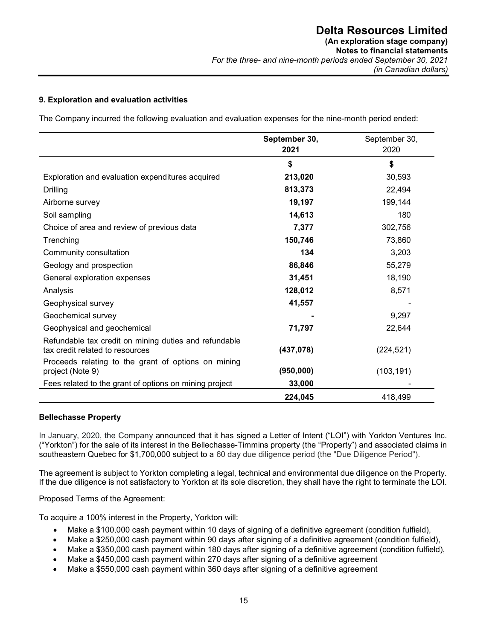# **9. Exploration and evaluation activities**

The Company incurred the following evaluation and evaluation expenses for the nine-month period ended:

|                                                                                          | September 30, | September 30, |
|------------------------------------------------------------------------------------------|---------------|---------------|
|                                                                                          | 2021          | 2020          |
|                                                                                          | \$            | \$            |
| Exploration and evaluation expenditures acquired                                         | 213,020       | 30,593        |
| Drilling                                                                                 | 813,373       | 22,494        |
| Airborne survey                                                                          | 19,197        | 199,144       |
| Soil sampling                                                                            | 14,613        | 180           |
| Choice of area and review of previous data                                               | 7,377         | 302,756       |
| Trenching                                                                                | 150,746       | 73,860        |
| Community consultation                                                                   | 134           | 3,203         |
| Geology and prospection                                                                  | 86,846        | 55,279        |
| General exploration expenses                                                             | 31,451        | 18,190        |
| Analysis                                                                                 | 128,012       | 8,571         |
| Geophysical survey                                                                       | 41,557        |               |
| Geochemical survey                                                                       |               | 9,297         |
| Geophysical and geochemical                                                              | 71,797        | 22,644        |
| Refundable tax credit on mining duties and refundable<br>tax credit related to resources | (437, 078)    | (224, 521)    |
| Proceeds relating to the grant of options on mining<br>project (Note 9)                  | (950,000)     | (103, 191)    |
| Fees related to the grant of options on mining project                                   | 33,000        |               |
|                                                                                          | 224,045       | 418,499       |

# **Bellechasse Property**

In January, 2020, the Company announced that it has signed a Letter of Intent ("LOI") with Yorkton Ventures Inc. ("Yorkton") for the sale of its interest in the Bellechasse-Timmins property (the "Property") and associated claims in southeastern Quebec for \$1,700,000 subject to a 60 day due diligence period (the "Due Diligence Period").

The agreement is subject to Yorkton completing a legal, technical and environmental due diligence on the Property. If the due diligence is not satisfactory to Yorkton at its sole discretion, they shall have the right to terminate the LOI.

Proposed Terms of the Agreement:

To acquire a 100% interest in the Property, Yorkton will:

- Make a \$100,000 cash payment within 10 days of signing of a definitive agreement (condition fulfield),
- Make a \$250,000 cash payment within 90 days after signing of a definitive agreement (condition fulfield),
- Make a \$350,000 cash payment within 180 days after signing of a definitive agreement (condition fulfield),
- Make a \$450,000 cash payment within 270 days after signing of a definitive agreement
- Make a \$550,000 cash payment within 360 days after signing of a definitive agreement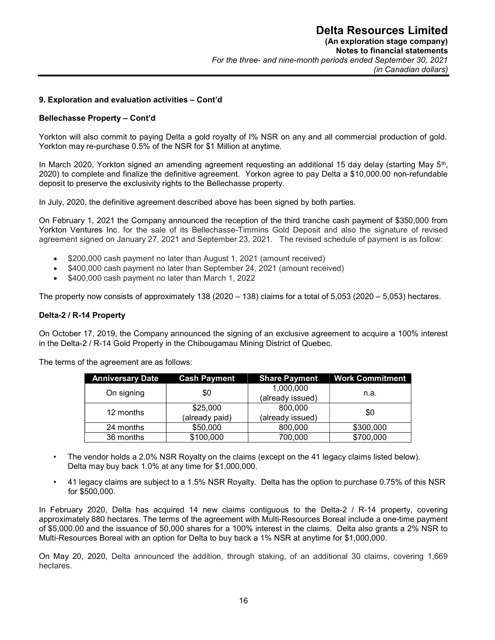# **9. Exploration and evaluation activities – Cont'd**

# **Bellechasse Property – Cont'd**

Yorkton will also commit to paying Delta a gold royalty of I% NSR on any and all commercial production of gold. Yorkton may re-purchase 0.5% of the NSR for \$1 Million at anytime.

In March 2020, Yorkton signed an amending agreement requesting an additional 15 day delay (starting May 5<sup>th</sup>, 2020) to complete and finalize the definitive agreement. Yorkon agree to pay Delta a \$10,000.00 non-refundable deposit to preserve the exclusivity rights to the Bellechasse property.

In July, 2020, the definitive agreement described above has been signed by both parties.

On February 1, 2021 the Company announced the reception of the third tranche cash payment of \$350,000 from Yorkton Ventures Inc. for the sale of its Bellechasse-Timmins Gold Deposit and also the signature of revised agreement signed on January 27, 2021 and September 23, 2021. The revised schedule of payment is as follow:

- \$200,000 cash payment no later than August 1, 2021 (amount received)
- \$400,000 cash payment no later than September 24, 2021 (amount received)
- \$400,000 cash payment no later than March 1, 2022

The property now consists of approximately 138 (2020 – 138) claims for a total of  $5,053$  (2020 –  $5,053$ ) hectares.

#### **Delta-2 / R-14 Property**

On October 17, 2019, the Company announced the signing of an exclusive agreement to acquire a 100% interest in the Delta-2 / R-14 Gold Property in the Chibougamau Mining District of Quebec.

The terms of the agreement are as follows:

| <b>Anniversary Date</b> | <b>Cash Payment</b> | <b>Share Payment</b> | <b>Work Commitment</b> |  |
|-------------------------|---------------------|----------------------|------------------------|--|
| On signing              |                     | 1,000,000            | n.a.                   |  |
|                         | \$0                 | (already issued)     |                        |  |
| 12 months               | \$25,000            | 800,000              | \$0                    |  |
|                         | (already paid)      | (already issued)     |                        |  |
| 24 months               | \$50,000            | 800,000              | \$300,000              |  |
| 36 months               | \$100,000           | 700,000              | \$700,000              |  |

- The vendor holds a 2.0% NSR Royalty on the claims (except on the 41 legacy claims listed below). Delta may buy back 1.0% at any time for \$1,000,000.
- 41 legacy claims are subject to a 1.5% NSR Royalty. Delta has the option to purchase 0.75% of this NSR for \$500,000.

In February 2020, Delta has acquired 14 new claims contiguous to the Delta-2 / R-14 property, covering approximately 880 hectares. The terms of the agreement with Multi-Resources Boreal include a one-time payment of \$5,000.00 and the issuance of 50,000 shares for a 100% interest in the claims. Delta also grants a 2% NSR to Multi-Resources Boreal with an option for Delta to buy back a 1% NSR at anytime for \$1,000,000.

On May 20, 2020, Delta announced the addition, through staking, of an additional 30 claims, covering 1,669 hectares.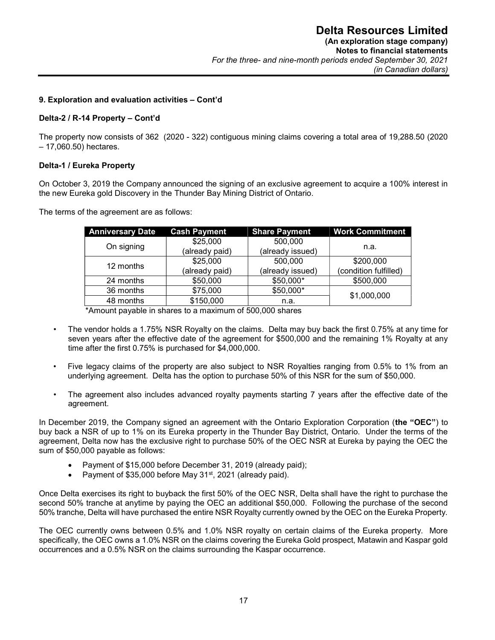# **9. Exploration and evaluation activities – Cont'd**

# **Delta-2 / R-14 Property – Cont'd**

The property now consists of 362 (2020 - 322) contiguous mining claims covering a total area of 19,288.50 (2020 – 17,060.50) hectares.

# **Delta-1 / Eureka Property**

On October 3, 2019 the Company announced the signing of an exclusive agreement to acquire a 100% interest in the new Eureka gold Discovery in the Thunder Bay Mining District of Ontario.

The terms of the agreement are as follows:

| <b>Anniversary Date</b> | <b>Cash Payment</b> | <b>Share Payment</b> | <b>Work Commitment</b> |  |
|-------------------------|---------------------|----------------------|------------------------|--|
| On signing              | \$25,000            | 500,000              |                        |  |
|                         | (already paid)      | (already issued)     | n.a.                   |  |
| 12 months               | \$25,000            | 500,000              | \$200,000              |  |
|                         | (already paid)      | (already issued)     | (condition fulfilled)  |  |
| 24 months               | \$50,000            | \$50,000*            | \$500,000              |  |
| 36 months               | \$75,000            | \$50,000*            | \$1,000,000            |  |
| 48 months               | \$150,000           | n.a.                 |                        |  |

\*Amount payable in shares to a maximum of 500,000 shares

- The vendor holds a 1.75% NSR Royalty on the claims. Delta may buy back the first 0.75% at any time for seven years after the effective date of the agreement for \$500,000 and the remaining 1% Royalty at any time after the first 0.75% is purchased for \$4,000,000.
- Five legacy claims of the property are also subject to NSR Royalties ranging from 0.5% to 1% from an underlying agreement. Delta has the option to purchase 50% of this NSR for the sum of \$50,000.
- The agreement also includes advanced royalty payments starting 7 years after the effective date of the agreement.

In December 2019, the Company signed an agreement with the Ontario Exploration Corporation (**the "OEC"**) to buy back a NSR of up to 1% on its Eureka property in the Thunder Bay District, Ontario. Under the terms of the agreement, Delta now has the exclusive right to purchase 50% of the OEC NSR at Eureka by paying the OEC the sum of \$50,000 payable as follows:

- Payment of \$15,000 before December 31, 2019 (already paid);
- Payment of \$35,000 before May  $31<sup>st</sup>$ , 2021 (already paid).

Once Delta exercises its right to buyback the first 50% of the OEC NSR, Delta shall have the right to purchase the second 50% tranche at anytime by paying the OEC an additional \$50,000. Following the purchase of the second 50% tranche, Delta will have purchased the entire NSR Royalty currently owned by the OEC on the Eureka Property.

The OEC currently owns between 0.5% and 1.0% NSR royalty on certain claims of the Eureka property. More specifically, the OEC owns a 1.0% NSR on the claims covering the Eureka Gold prospect, Matawin and Kaspar gold occurrences and a 0.5% NSR on the claims surrounding the Kaspar occurrence.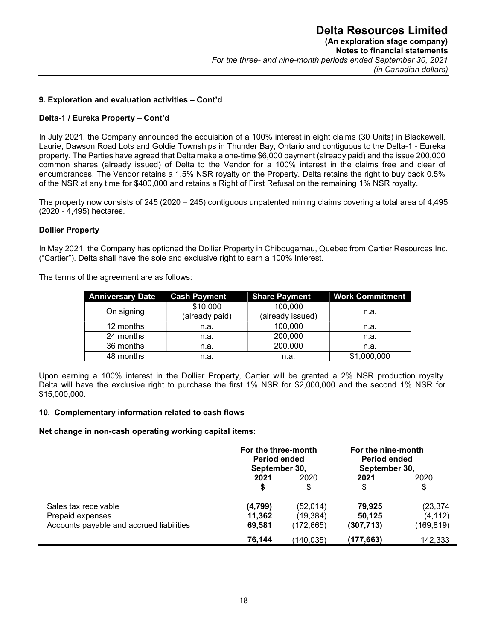# **9. Exploration and evaluation activities – Cont'd**

# **Delta-1 / Eureka Property – Cont'd**

In July 2021, the Company announced the acquisition of a 100% interest in eight claims (30 Units) in Blackewell, Laurie, Dawson Road Lots and Goldie Townships in Thunder Bay, Ontario and contiguous to the Delta-1 - Eureka property. The Parties have agreed that Delta make a one-time \$6,000 payment (already paid) and the issue 200,000 common shares (already issued) of Delta to the Vendor for a 100% interest in the claims free and clear of encumbrances. The Vendor retains a 1.5% NSR royalty on the Property. Delta retains the right to buy back 0.5% of the NSR at any time for \$400,000 and retains a Right of First Refusal on the remaining 1% NSR royalty.

The property now consists of 245 (2020 – 245) contiguous unpatented mining claims covering a total area of 4,495 (2020 - 4,495) hectares.

# **Dollier Property**

In May 2021, the Company has optioned the Dollier Property in Chibougamau, Quebec from Cartier Resources Inc. ("Cartier"). Delta shall have the sole and exclusive right to earn a 100% Interest.

The terms of the agreement are as follows:

| <b>Anniversary Date</b> | <b>Cash Payment</b> | <b>Share Payment</b> | <b>Work Commitment</b> |
|-------------------------|---------------------|----------------------|------------------------|
| On signing              | \$10,000            | 100,000              |                        |
|                         | (already paid)      | (already issued)     | n.a.                   |
| 12 months               | n.a.                | 100,000              | n.a.                   |
| 24 months               | n.a.                | 200,000              | n.a.                   |
| 36 months               | n.a.                | 200,000              | n.a.                   |
| 48 months               | n.a.                | n.a.                 | \$1,000,000            |

 Upon earning a 100% interest in the Dollier Property, Cartier will be granted a 2% NSR production royalty. Delta will have the exclusive right to purchase the first 1% NSR for \$2,000,000 and the second 1% NSR for \$15,000,000.

# **10. Complementary information related to cash flows**

**Net change in non-cash operating working capital items:** 

|                                          | For the three-month<br>Period ended<br>September 30, |            | For the nine-month<br><b>Period ended</b><br>September 30, |           |
|------------------------------------------|------------------------------------------------------|------------|------------------------------------------------------------|-----------|
|                                          | 2021                                                 | 2020       | 2021                                                       | 2020      |
|                                          |                                                      | \$         |                                                            |           |
| Sales tax receivable                     | (4,799)                                              | (52,014)   | 79.925                                                     | (23, 374) |
| Prepaid expenses                         | 11,362                                               | (19,384)   | 50,125                                                     | (4, 112)  |
| Accounts payable and accrued liabilities | 69,581                                               | (172,665)  | (307,713)                                                  | (169,819) |
|                                          | 76,144                                               | (140, 035) | (177, 663)                                                 | 142,333   |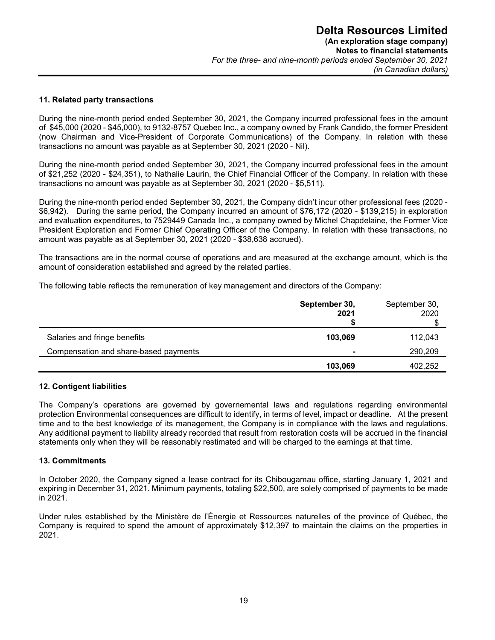# **11. Related party transactions**

During the nine-month period ended September 30, 2021, the Company incurred professional fees in the amount of \$45,000 (2020 - \$45,000), to 9132-8757 Quebec Inc., a company owned by Frank Candido, the former President (now Chairman and Vice-President of Corporate Communications) of the Company. In relation with these transactions no amount was payable as at September 30, 2021 (2020 - Nil).

During the nine-month period ended September 30, 2021, the Company incurred professional fees in the amount of \$21,252 (2020 - \$24,351), to Nathalie Laurin, the Chief Financial Officer of the Company. In relation with these transactions no amount was payable as at September 30, 2021 (2020 - \$5,511).

During the nine-month period ended September 30, 2021, the Company didn't incur other professional fees (2020 - \$6,942). During the same period, the Company incurred an amount of \$76,172 (2020 - \$139,215) in exploration and evaluation expenditures, to 7529449 Canada Inc., a company owned by Michel Chapdelaine, the Former Vice President Exploration and Former Chief Operating Officer of the Company. In relation with these transactions, no amount was payable as at September 30, 2021 (2020 - \$38,638 accrued).

The transactions are in the normal course of operations and are measured at the exchange amount, which is the amount of consideration established and agreed by the related parties.

The following table reflects the remuneration of key management and directors of the Company:

|                                       | September 30,<br>2021    | September 30,<br>2020<br>մՕ |
|---------------------------------------|--------------------------|-----------------------------|
| Salaries and fringe benefits          | 103,069                  | 112,043                     |
| Compensation and share-based payments | $\overline{\phantom{0}}$ | 290,209                     |
|                                       | 103,069                  | 402,252                     |

# **12. Contigent liabilities**

The Company's operations are governed by governemental laws and regulations regarding environmental protection Environmental consequences are difficult to identify, in terms of level, impact or deadline. At the present time and to the best knowledge of its management, the Company is in compliance with the laws and regulations. Any additional payment to liability already recorded that result from restoration costs will be accrued in the financial statements only when they will be reasonably restimated and will be charged to the earnings at that time.

# **13. Commitments**

In October 2020, the Company signed a lease contract for its Chibougamau office, starting January 1, 2021 and expiring in December 31, 2021. Minimum payments, totaling \$22,500, are solely comprised of payments to be made in 2021.

Under rules established by the Ministère de l'Énergie et Ressources naturelles of the province of Québec, the Company is required to spend the amount of approximately \$12,397 to maintain the claims on the properties in 2021.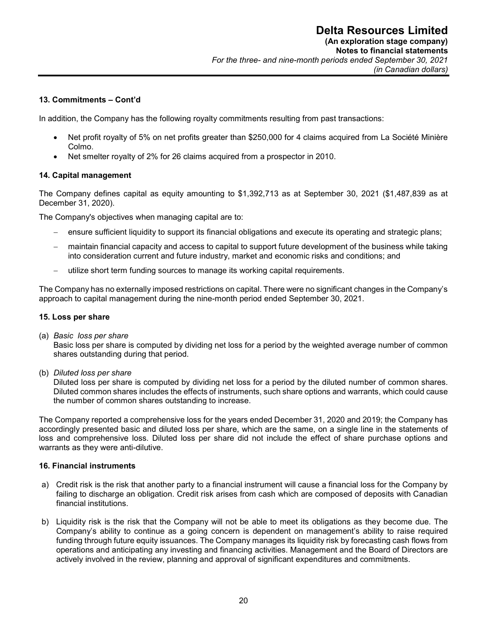# **13. Commitments – Cont'd**

In addition, the Company has the following royalty commitments resulting from past transactions:

- Net profit royalty of 5% on net profits greater than \$250,000 for 4 claims acquired from La Société Minière Colmo.
- Net smelter royalty of 2% for 26 claims acquired from a prospector in 2010.

# **14. Capital management**

The Company defines capital as equity amounting to \$1,392,713 as at September 30, 2021 (\$1,487,839 as at December 31, 2020).

The Company's objectives when managing capital are to:

- ensure sufficient liquidity to support its financial obligations and execute its operating and strategic plans;
- maintain financial capacity and access to capital to support future development of the business while taking into consideration current and future industry, market and economic risks and conditions; and
- utilize short term funding sources to manage its working capital requirements.

The Company has no externally imposed restrictions on capital. There were no significant changes in the Company's approach to capital management during the nine-month period ended September 30, 2021.

#### **15. Loss per share**

(a) *Basic loss per share* 

Basic loss per share is computed by dividing net loss for a period by the weighted average number of common shares outstanding during that period.

(b) *Diluted loss per share* 

Diluted loss per share is computed by dividing net loss for a period by the diluted number of common shares. Diluted common shares includes the effects of instruments, such share options and warrants, which could cause the number of common shares outstanding to increase.

The Company reported a comprehensive loss for the years ended December 31, 2020 and 2019; the Company has accordingly presented basic and diluted loss per share, which are the same, on a single line in the statements of loss and comprehensive loss. Diluted loss per share did not include the effect of share purchase options and warrants as they were anti-dilutive.

# **16. Financial instruments**

- a) Credit risk is the risk that another party to a financial instrument will cause a financial loss for the Company by failing to discharge an obligation. Credit risk arises from cash which are composed of deposits with Canadian financial institutions.
- b) Liquidity risk is the risk that the Company will not be able to meet its obligations as they become due. The Company's ability to continue as a going concern is dependent on management's ability to raise required funding through future equity issuances. The Company manages its liquidity risk by forecasting cash flows from operations and anticipating any investing and financing activities. Management and the Board of Directors are actively involved in the review, planning and approval of significant expenditures and commitments.